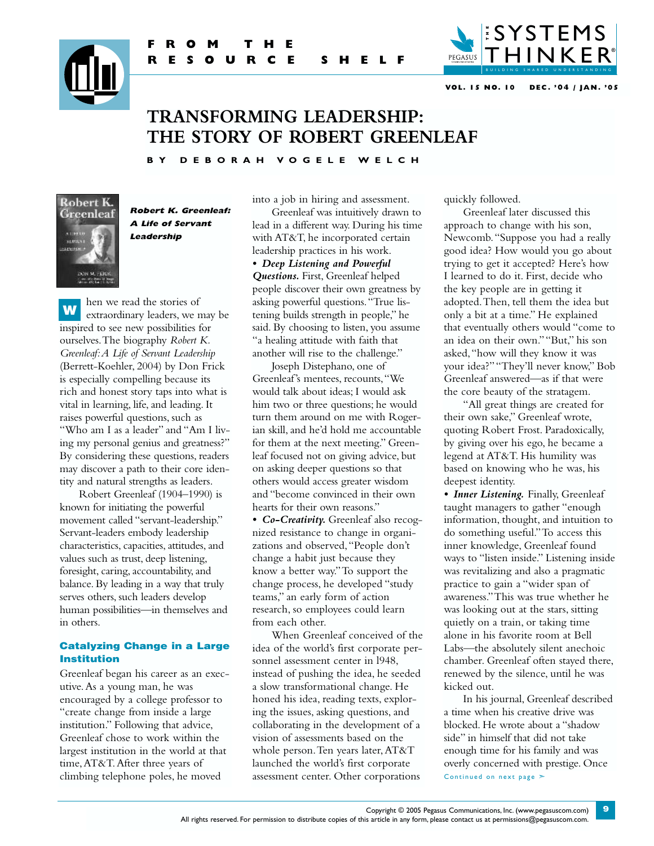



**VOL. 15 NO. 10 DEC. '04 / JAN. '05**

# **TRANSFORMING LEADERSHIP: THE STORY OF ROBERT GREENLEAF**

**B Y D E B O R A H VO G E L E W E L C H**



**Robert K. Greenleaf: A Life of Servant Leadership**

hen we read the stories of extraordinary leaders, we may be inspired to see new possibilities for ourselves.The biography *Robert K. Greenleaf:A Life of Servant Leadership* (Berrett-Koehler, 2004) by Don Frick is especially compelling because its rich and honest story taps into what is vital in learning, life, and leading. It raises powerful questions, such as "Who am I as a leader" and "Am I living my personal genius and greatness?" By considering these questions, readers may discover a path to their core identity and natural strengths as leaders. W

Robert Greenleaf (1904–1990) is known for initiating the powerful movement called "servant-leadership." Servant-leaders embody leadership characteristics, capacities, attitudes, and values such as trust, deep listening, foresight, caring, accountability, and balance. By leading in a way that truly serves others, such leaders develop human possibilities—in themselves and in others.

## Catalyzing Change in a Large Institution

Greenleaf began his career as an executive.As a young man, he was encouraged by a college professor to "create change from inside a large institution." Following that advice, Greenleaf chose to work within the largest institution in the world at that time,AT&T.After three years of climbing telephone poles, he moved

into a job in hiring and assessment. Greenleaf was intuitively drawn to lead in a different way. During his time with AT&T, he incorporated certain

leadership practices in his work. *• Deep Listening and Powerful Questions.* First, Greenleaf helped people discover their own greatness by asking powerful questions."True listening builds strength in people," he said. By choosing to listen, you assume "a healing attitude with faith that another will rise to the challenge."

Joseph Distephano, one of Greenleaf's mentees, recounts,"We would talk about ideas; I would ask him two or three questions; he would turn them around on me with Rogerian skill, and he'd hold me accountable for them at the next meeting." Greenleaf focused not on giving advice, but on asking deeper questions so that others would access greater wisdom and "become convinced in their own hearts for their own reasons."

*• Co-Creativity.* Greenleaf also recognized resistance to change in organizations and observed,"People don't change a habit just because they know a better way."To support the change process, he developed "study teams," an early form of action research, so employees could learn from each other.

When Greenleaf conceived of the idea of the world's first corporate personnel assessment center in l948, instead of pushing the idea, he seeded a slow transformational change. He honed his idea, reading texts, exploring the issues, asking questions, and collaborating in the development of a vision of assessments based on the whole person.Ten years later,AT&T launched the world's first corporate assessment center. Other corporations

quickly followed.

Greenleaf later discussed this approach to change with his son, Newcomb."Suppose you had a really good idea? How would you go about trying to get it accepted? Here's how I learned to do it. First, decide who the key people are in getting it adopted.Then, tell them the idea but only a bit at a time." He explained that eventually others would "come to an idea on their own.""But," his son asked,"how will they know it was your idea?""They'll never know," Bob Greenleaf answered—as if that were the core beauty of the stratagem.

"All great things are created for their own sake," Greenleaf wrote, quoting Robert Frost. Paradoxically, by giving over his ego, he became a legend at AT&T. His humility was based on knowing who he was, his deepest identity.

*• Inner Listening.* Finally, Greenleaf taught managers to gather "enough information, thought, and intuition to do something useful."To access this inner knowledge, Greenleaf found ways to "listen inside." Listening inside was revitalizing and also a pragmatic practice to gain a "wider span of awareness."This was true whether he was looking out at the stars, sitting quietly on a train, or taking time alone in his favorite room at Bell Labs—the absolutely silent anechoic chamber. Greenleaf often stayed there, renewed by the silence, until he was kicked out.

In his journal, Greenleaf described a time when his creative drive was blocked. He wrote about a "shadow side" in himself that did not take enough time for his family and was overly concerned with prestige. Once Continued on next page ≻

Copyright © 2005 Pegasus Communications, Inc. [\(www.pegasuscom.com\)](http://www.pegasuscom.com) All rights reserved. For permission to distribute copies of this article in any form, please contact us at [permissions@pegasuscom.com.](mailto:permissions@pegasuscom.com)